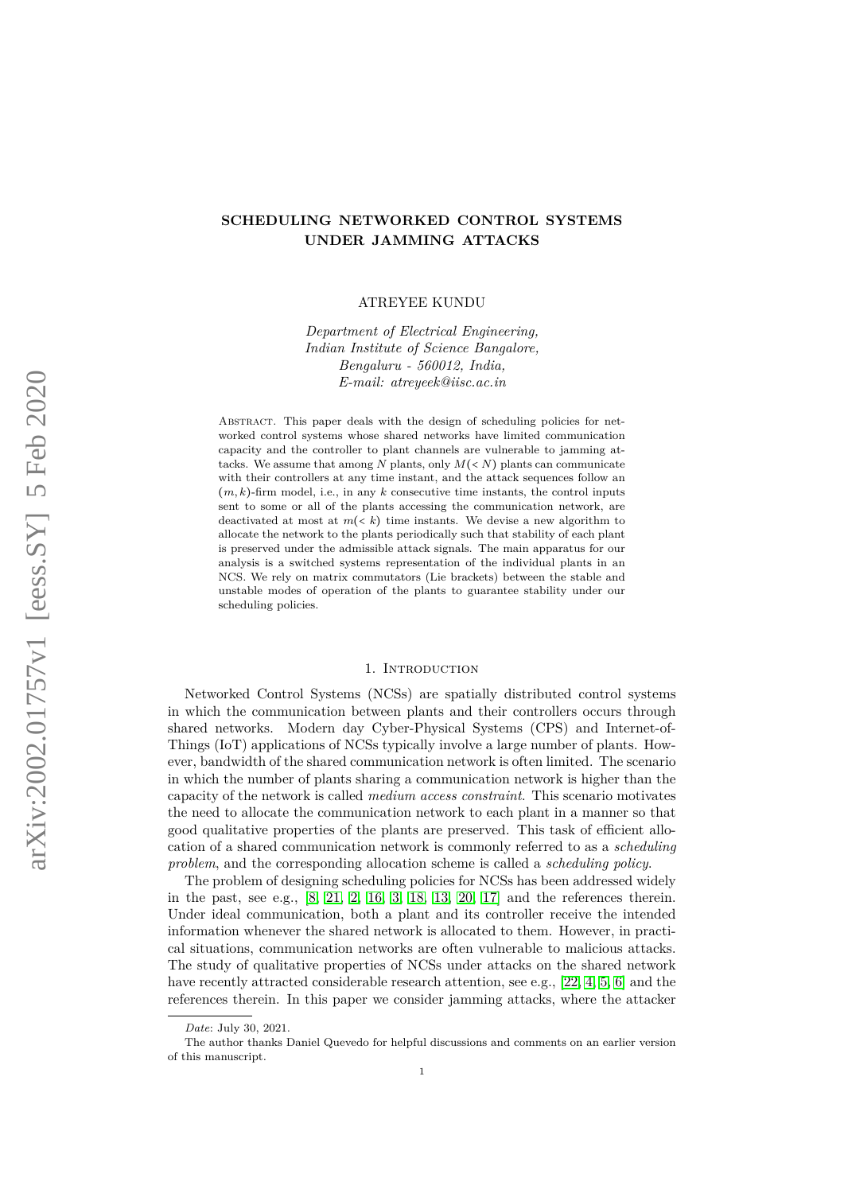# **SCHEDULING NETWORKED CONTROL SYSTEMS UNDER JAMMING ATTACKS**

ATREYEE KUNDU

*Department of Electrical Engineering, Indian Institute of Science Bangalore, Bengaluru - 560012, India, E-mail: atreyeek@iisc.ac.in*

ABSTRACT. This paper deals with the design of scheduling policies for networked control systems whose shared networks have limited communication capacity and the controller to plant channels are vulnerable to jamming attacks. We assume that among  $N$  plants, only  $M(< N)$  plants can communicate with their controllers at any time instant, and the attack sequences follow an  $(m, k)$ -firm model, i.e., in any  $k$  consecutive time instants, the control inputs sent to some or all of the plants accessing the communication network, are deactivated at most at  $m(< k)$  time instants. We devise a new algorithm to allocate the network to the plants periodically such that stability of each plant is preserved under the admissible attack signals. The main apparatus for our analysis is a switched systems representation of the individual plants in an NCS. We rely on matrix commutators (Lie brackets) between the stable and unstable modes of operation of the plants to guarantee stability under our scheduling policies.

#### 1. INTRODUCTION

Networked Control Systems (NCSs) are spatially distributed control systems in which the communication between plants and their controllers occurs through shared networks. Modern day Cyber-Physical Systems (CPS) and Internet-of-Things (IoT) applications of NCSs typically involve a large number of plants. However, bandwidth of the shared communication network is often limited. The scenario in which the number of plants sharing a communication network is higher than the capacity of the network is called *medium access constraint*. This scenario motivates the need to allocate the communication network to each plant in a manner so that good qualitative properties of the plants are preserved. This task of efficient allocation of a shared communication network is commonly referred to as a *scheduling problem*, and the corresponding allocation scheme is called a *scheduling policy*.

The problem of designing scheduling policies for NCSs has been addressed widely in the past, see e.g., [\[8,](#page-12-0) [21,](#page-12-1) [2,](#page-12-2) [16,](#page-12-3) [3,](#page-12-4) [18,](#page-12-5) [13,](#page-12-6) [20,](#page-12-7) [17\]](#page-12-8) and the references therein. Under ideal communication, both a plant and its controller receive the intended information whenever the shared network is allocated to them. However, in practical situations, communication networks are often vulnerable to malicious attacks. The study of qualitative properties of NCSs under attacks on the shared network have recently attracted considerable research attention, see e.g., [\[22,](#page-13-0) [4,](#page-12-9) [5,](#page-12-10) [6\]](#page-12-11) and the references therein. In this paper we consider jamming attacks, where the attacker

*Date*: July 30, 2021.

The author thanks Daniel Quevedo for helpful discussions and comments on an earlier version of this manuscript.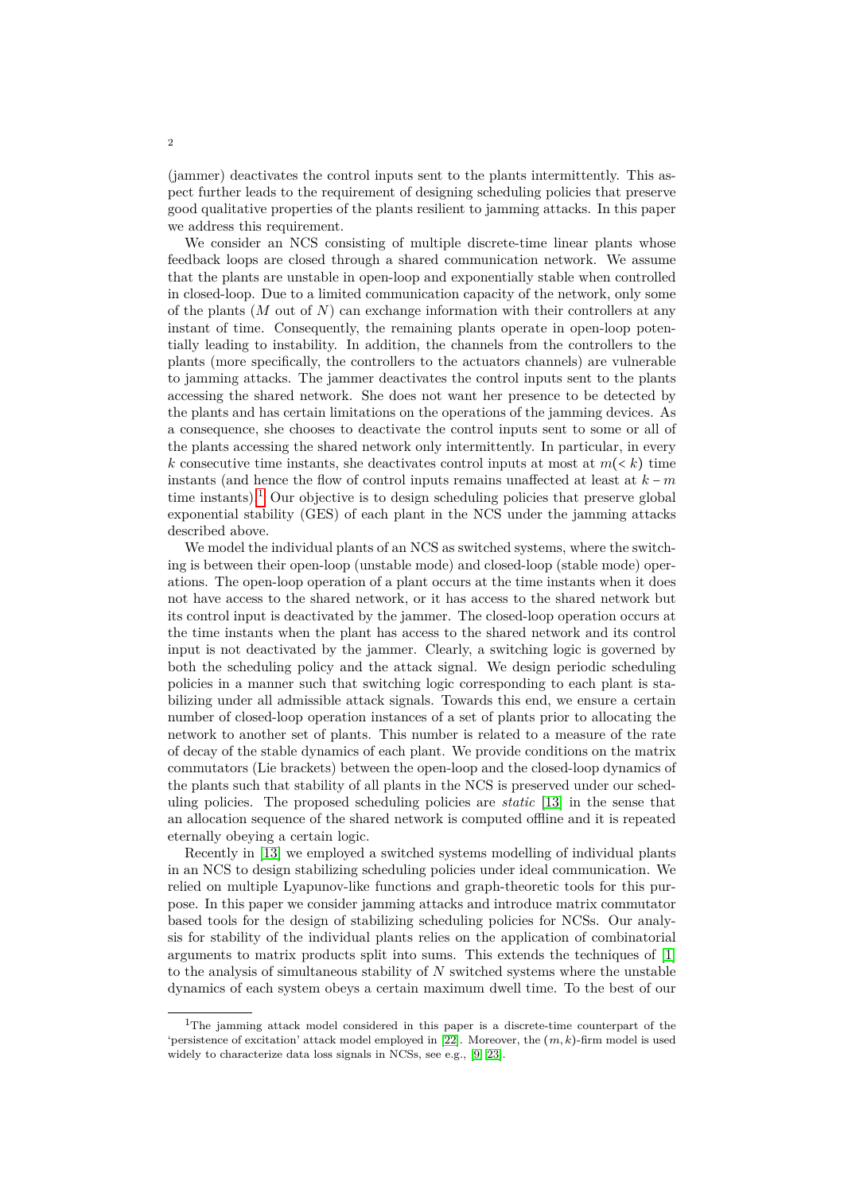(jammer) deactivates the control inputs sent to the plants intermittently. This aspect further leads to the requirement of designing scheduling policies that preserve good qualitative properties of the plants resilient to jamming attacks. In this paper we address this requirement.

We consider an NCS consisting of multiple discrete-time linear plants whose feedback loops are closed through a shared communication network. We assume that the plants are unstable in open-loop and exponentially stable when controlled in closed-loop. Due to a limited communication capacity of the network, only some of the plants (*M* out of *N*) can exchange information with their controllers at any instant of time. Consequently, the remaining plants operate in open-loop potentially leading to instability. In addition, the channels from the controllers to the plants (more specifically, the controllers to the actuators channels) are vulnerable to jamming attacks. The jammer deactivates the control inputs sent to the plants accessing the shared network. She does not want her presence to be detected by the plants and has certain limitations on the operations of the jamming devices. As a consequence, she chooses to deactivate the control inputs sent to some or all of the plants accessing the shared network only intermittently. In particular, in every *k* consecutive time instants, she deactivates control inputs at most at  $m(< k)$  time instants (and hence the flow of control inputs remains unaffected at least at *k* − *m* time instants).<sup>[1](#page-1-0)</sup> Our objective is to design scheduling policies that preserve global exponential stability (GES) of each plant in the NCS under the jamming attacks described above.

We model the individual plants of an NCS as switched systems, where the switching is between their open-loop (unstable mode) and closed-loop (stable mode) operations. The open-loop operation of a plant occurs at the time instants when it does not have access to the shared network, or it has access to the shared network but its control input is deactivated by the jammer. The closed-loop operation occurs at the time instants when the plant has access to the shared network and its control input is not deactivated by the jammer. Clearly, a switching logic is governed by both the scheduling policy and the attack signal. We design periodic scheduling policies in a manner such that switching logic corresponding to each plant is stabilizing under all admissible attack signals. Towards this end, we ensure a certain number of closed-loop operation instances of a set of plants prior to allocating the network to another set of plants. This number is related to a measure of the rate of decay of the stable dynamics of each plant. We provide conditions on the matrix commutators (Lie brackets) between the open-loop and the closed-loop dynamics of the plants such that stability of all plants in the NCS is preserved under our scheduling policies. The proposed scheduling policies are *static* [\[13\]](#page-12-6) in the sense that an allocation sequence of the shared network is computed offline and it is repeated eternally obeying a certain logic.

Recently in [\[13\]](#page-12-6) we employed a switched systems modelling of individual plants in an NCS to design stabilizing scheduling policies under ideal communication. We relied on multiple Lyapunov-like functions and graph-theoretic tools for this purpose. In this paper we consider jamming attacks and introduce matrix commutator based tools for the design of stabilizing scheduling policies for NCSs. Our analysis for stability of the individual plants relies on the application of combinatorial arguments to matrix products split into sums. This extends the techniques of [\[1\]](#page-12-12) to the analysis of simultaneous stability of *N* switched systems where the unstable dynamics of each system obeys a certain maximum dwell time. To the best of our

<span id="page-1-0"></span><sup>1</sup>The jamming attack model considered in this paper is a discrete-time counterpart of the 'persistence of excitation' attack model employed in [\[22\]](#page-13-0). Moreover, the (*m, k*)-firm model is used widely to characterize data loss signals in NCSs, see e.g., [\[9,](#page-12-13) [23\]](#page-13-1).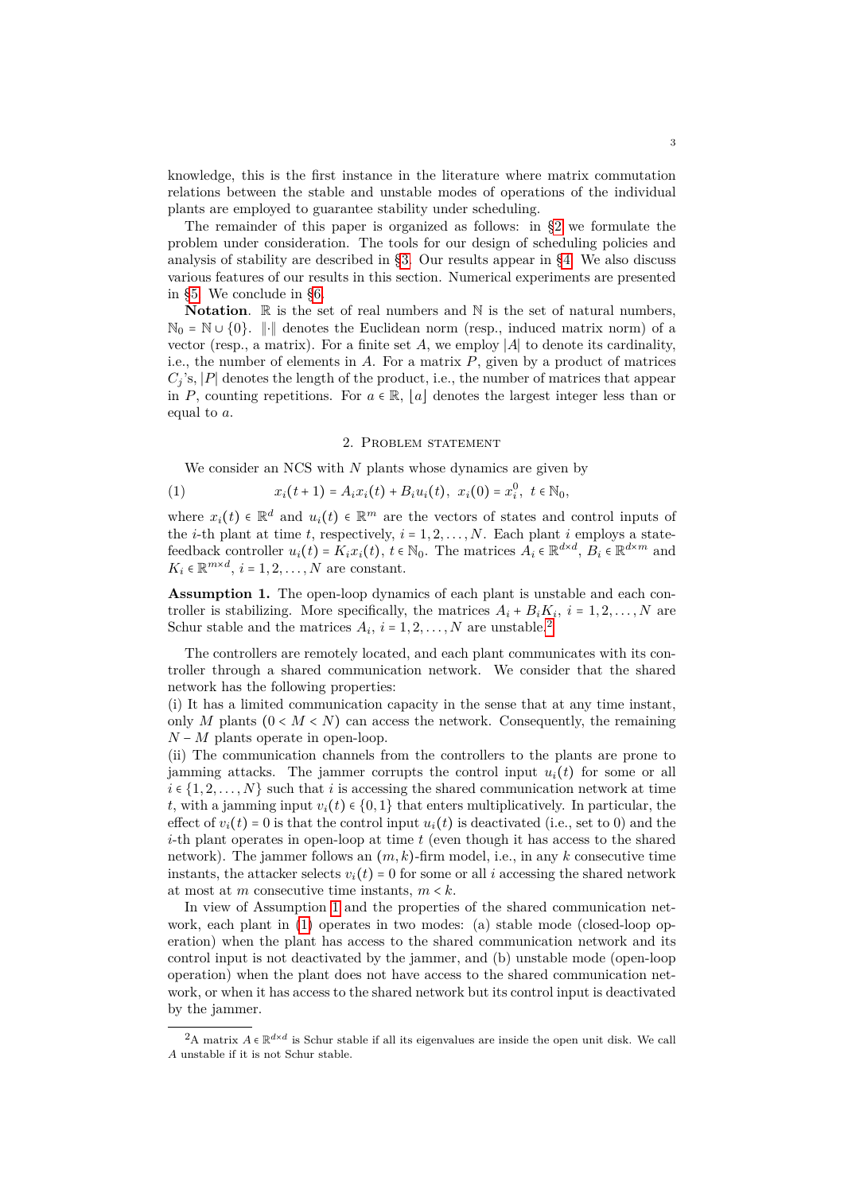knowledge, this is the first instance in the literature where matrix commutation relations between the stable and unstable modes of operations of the individual plants are employed to guarantee stability under scheduling.

The remainder of this paper is organized as follows: in [§2](#page-2-0) we formulate the problem under consideration. The tools for our design of scheduling policies and analysis of stability are described in [§3.](#page-3-0) Our results appear in [§4.](#page-5-0) We also discuss various features of our results in this section. Numerical experiments are presented in [§5.](#page-8-0) We conclude in [§6.](#page-11-0)

**Notation**.  $\mathbb{R}$  is the set of real numbers and  $\mathbb{N}$  is the set of natural numbers,  $\mathbb{N}_0 = \mathbb{N} \cup \{0\}$ . ||⋅|| denotes the Euclidean norm (resp., induced matrix norm) of a vector (resp., a matrix). For a finite set *A*, we employ ∣*A*∣ to denote its cardinality, i.e., the number of elements in *A*. For a matrix *P*, given by a product of matrices  $C_i$ 's,  $|P|$  denotes the length of the product, i.e., the number of matrices that appear in *P*, counting repetitions. For  $a \in \mathbb{R}$ , |a| denotes the largest integer less than or equal to *a*.

# 2. Problem statement

<span id="page-2-0"></span>We consider an NCS with *N* plants whose dynamics are given by

<span id="page-2-3"></span>(1) 
$$
x_i(t+1) = A_i x_i(t) + B_i u_i(t), \ \ x_i(0) = x_i^0, \ \ t \in \mathbb{N}_0,
$$

where  $x_i(t) \in \mathbb{R}^d$  and  $u_i(t) \in \mathbb{R}^m$  are the vectors of states and control inputs of the *i*-th plant at time *t*, respectively,  $i = 1, 2, \ldots, N$ . Each plant *i* employs a statefeedback controller  $u_i(t) = K_i x_i(t)$ ,  $t \in \mathbb{N}_0$ . The matrices  $A_i \in \mathbb{R}^{d \times d}$ ,  $B_i \in \mathbb{R}^{d \times m}$  and  $K_i \in \mathbb{R}^{m \times d}$ ,  $i = 1, 2, ..., N$  are constant.

<span id="page-2-2"></span>**Assumption 1.** The open-loop dynamics of each plant is unstable and each controller is stabilizing. More specifically, the matrices  $A_i + B_i K_i$ ,  $i = 1, 2, ..., N$  are Schur stable and the matrices  $A_i$ ,  $i = 1, 2, ..., N$  $i = 1, 2, ..., N$  $i = 1, 2, ..., N$  are unstable.<sup>2</sup>

The controllers are remotely located, and each plant communicates with its controller through a shared communication network. We consider that the shared network has the following properties:

(i) It has a limited communication capacity in the sense that at any time instant, only *M* plants  $(0 \lt M \lt N)$  can access the network. Consequently, the remaining *N* − *M* plants operate in open-loop.

(ii) The communication channels from the controllers to the plants are prone to jamming attacks. The jammer corrupts the control input  $u_i(t)$  for some or all  $i \in \{1, 2, \ldots, N\}$  such that *i* is accessing the shared communication network at time *t*, with a jamming input  $v_i(t) \in \{0, 1\}$  that enters multiplicatively. In particular, the effect of  $v_i(t) = 0$  is that the control input  $u_i(t)$  is deactivated (i.e., set to 0) and the *i*-th plant operates in open-loop at time *t* (even though it has access to the shared network). The jammer follows an (*m, k*)-firm model, i.e., in any *k* consecutive time instants, the attacker selects  $v_i(t) = 0$  for some or all *i* accessing the shared network at most at *m* consecutive time instants,  $m < k$ .

In view of Assumption [1](#page-2-2) and the properties of the shared communication network, each plant in [\(1\)](#page-2-3) operates in two modes: (a) stable mode (closed-loop operation) when the plant has access to the shared communication network and its control input is not deactivated by the jammer, and (b) unstable mode (open-loop operation) when the plant does not have access to the shared communication network, or when it has access to the shared network but its control input is deactivated by the jammer.

<span id="page-2-1"></span><sup>&</sup>lt;sup>2</sup>A matrix  $A \in \mathbb{R}^{d \times d}$  is Schur stable if all its eigenvalues are inside the open unit disk. We call *A* unstable if it is not Schur stable.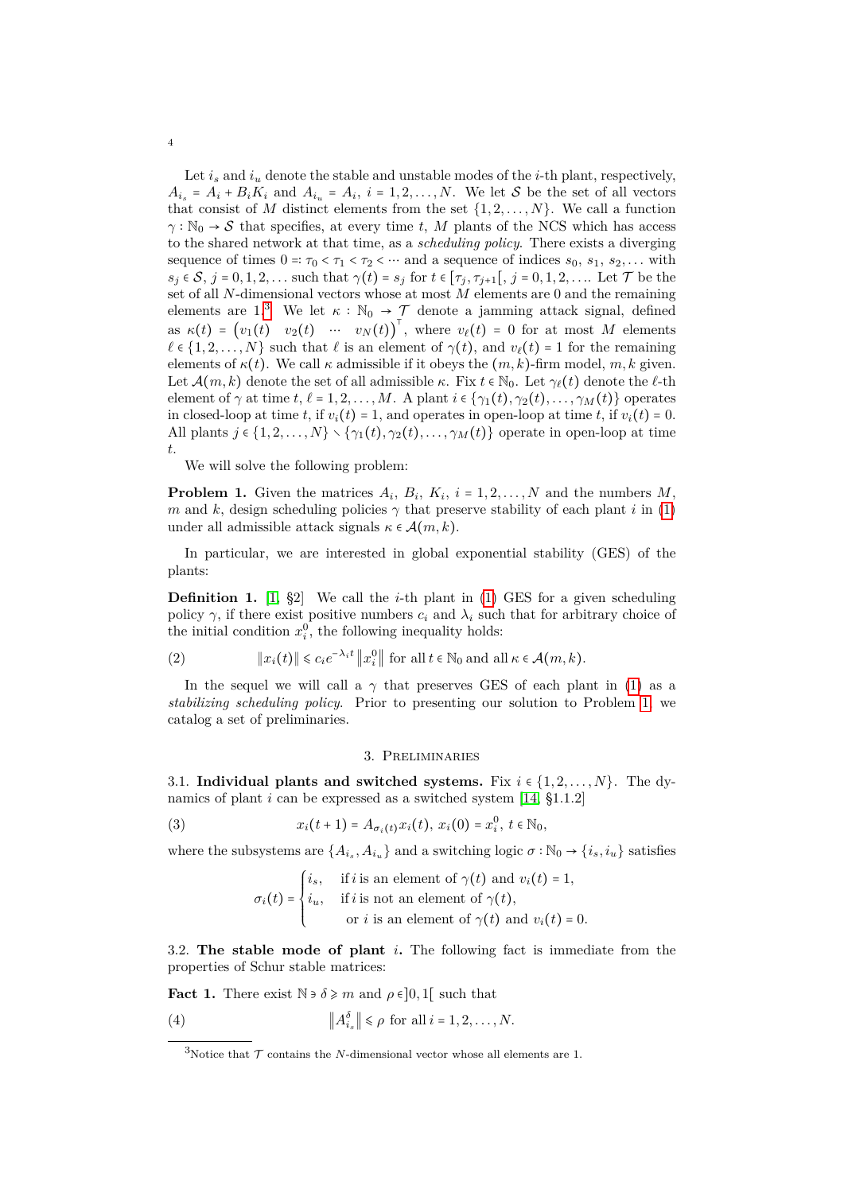Let  $i_s$  and  $i_u$  denote the stable and unstable modes of the  $i$ -th plant, respectively,  $A_i$ <sup>*s*</sup> =  $A_i$  +  $B_i K_i$  and  $A_i$ <sup>*u*</sup> =  $A_i$ ,  $i$  = 1, 2, ..., N. We let S be the set of all vectors that consist of *M* distinct elements from the set  $\{1, 2, \ldots, N\}$ . We call a function  $\gamma : \mathbb{N}_0 \to \mathcal{S}$  that specifies, at every time *t*, *M* plants of the NCS which has access to the shared network at that time, as a *scheduling policy*. There exists a diverging sequence of times  $0 = \tau_0 < \tau_1 < \tau_2 < \cdots$  and a sequence of indices  $s_0, s_1, s_2, \ldots$  with  $s_j \in \mathcal{S}, j = 0, 1, 2, \ldots$  such that  $\gamma(t) = s_j$  for  $t \in [\tau_j, \tau_{j+1}], j = 0, 1, 2, \ldots$  Let  $\mathcal{T}$  be the set of all *N*-dimensional vectors whose at most *M* elements are 0 and the remaining elements are 1.<sup>[3](#page-3-1)</sup> We let  $\kappa : \mathbb{N}_0 \to \mathcal{T}$  denote a jamming attack signal, defined as  $\kappa(t) = (v_1(t) \quad v_2(t) \quad \cdots \quad v_N(t))^T$ , where  $v_\ell(t) = 0$  for at most *M* elements  $\ell \in \{1, 2, ..., N\}$  such that  $\ell$  is an element of  $\gamma(t)$ , and  $v_{\ell}(t) = 1$  for the remaining elements of  $\kappa(t)$ . We call  $\kappa$  admissible if it obeys the  $(m, k)$ -firm model,  $m, k$  given. Let  $\mathcal{A}(m, k)$  denote the set of all admissible  $\kappa$ . Fix  $t \in \mathbb{N}_0$ . Let  $\gamma_{\ell}(t)$  denote the  $\ell$ -th element of  $\gamma$  at time *t*,  $\ell = 1, 2, ..., M$ . A plant  $i \in \{\gamma_1(t), \gamma_2(t), ..., \gamma_M(t)\}$  operates in closed-loop at time *t*, if  $v_i(t) = 1$ , and operates in open-loop at time *t*, if  $v_i(t) = 0$ . All plants  $j \in \{1, 2, \ldots, N\} \setminus \{\gamma_1(t), \gamma_2(t), \ldots, \gamma_M(t)\}\)$  operate in open-loop at time *t*.

We will solve the following problem:

<span id="page-3-2"></span>**Problem 1.** Given the matrices  $A_i$ ,  $B_i$ ,  $K_i$ ,  $i = 1, 2, ..., N$  and the numbers  $M$ , *m* and *k*, design scheduling policies  $\gamma$  that preserve stability of each plant *i* in [\(1\)](#page-2-3) under all admissible attack signals  $\kappa \in \mathcal{A}(m,k)$ .

In particular, we are interested in global exponential stability (GES) of the plants:

**Definition 1.** [\[1,](#page-12-12) §2] We call the *i*-th plant in [\(1\)](#page-2-3) GES for a given scheduling policy  $\gamma$ , if there exist positive numbers  $c_i$  and  $\lambda_i$  such that for arbitrary choice of the initial condition  $x_i^0$ , the following inequality holds:

<span id="page-3-5"></span>(2) 
$$
\|x_i(t)\| \le c_i e^{-\lambda_i t} \|x_i^0\| \text{ for all } t \in \mathbb{N}_0 \text{ and all } \kappa \in \mathcal{A}(m, k).
$$

In the sequel we will call a  $\gamma$  that preserves GES of each plant in [\(1\)](#page-2-3) as a *stabilizing scheduling policy*. Prior to presenting our solution to Problem [1,](#page-3-2) we catalog a set of preliminaries.

#### 3. Preliminaries

<span id="page-3-0"></span>3.1. **Individual plants and switched systems.** Fix  $i \in \{1, 2, ..., N\}$ . The dynamics of plant *i* can be expressed as a switched system [\[14,](#page-12-14) §1.1.2]

<span id="page-3-4"></span>(3) 
$$
x_i(t+1) = A_{\sigma_i(t)} x_i(t), x_i(0) = x_i^0, t \in \mathbb{N}_0,
$$

where the subsystems are  $\{A_{i_s}, A_{i_u}\}$  and a switching logic  $\sigma : \mathbb{N}_0 \to \{i_s, i_u\}$  satisfies

$$
\sigma_i(t) = \begin{cases} i_s, & \text{if } i \text{ is an element of } \gamma(t) \text{ and } v_i(t) = 1, \\ i_u, & \text{if } i \text{ is not an element of } \gamma(t), \\ & \text{or } i \text{ is an element of } \gamma(t) \text{ and } v_i(t) = 0. \end{cases}
$$

3.2. **The stable mode of plant** *i***.** The following fact is immediate from the properties of Schur stable matrices:

<span id="page-3-3"></span>**Fact 1.** There exist  $\mathbb{N} \ni \delta \geq m$  and  $\rho \in ]0,1[$  such that

(4) 
$$
\|A_{i_s}^{\delta}\| \leq \rho \text{ for all } i = 1, 2, \dots, N.
$$

<span id="page-3-1"></span><sup>&</sup>lt;sup>3</sup>Notice that  $\mathcal T$  contains the *N*-dimensional vector whose all elements are 1.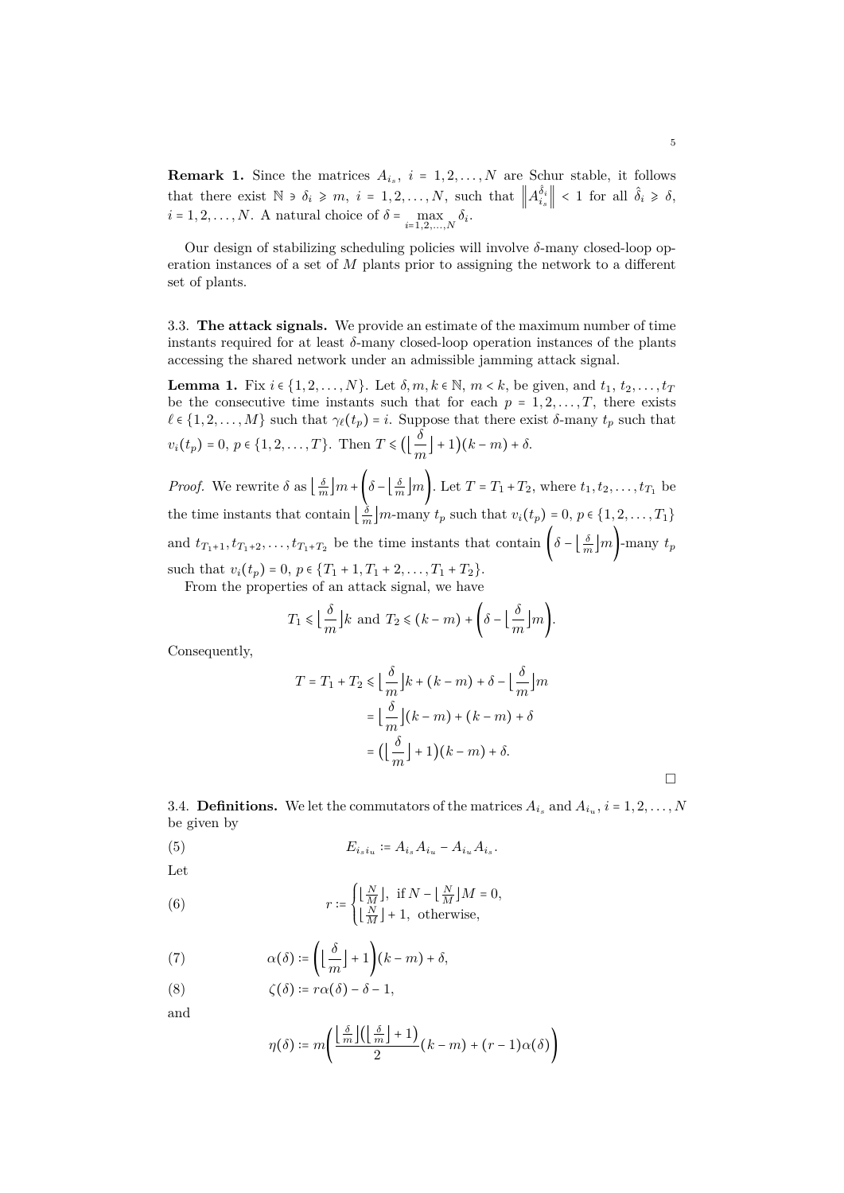**Remark 1.** Since the matrices  $A_{i_s}$ ,  $i = 1, 2, ..., N$  are Schur stable, it follows that there exist  $\mathbb{N} \ni \delta_i \geq m, i = 1, 2, ..., N$ , such that  $\left\| A_{i_s}^{\hat{\delta}_i} \right\| < 1$  for all  $\hat{\delta}_i \geq \delta$ ,  $i = 1, 2, \ldots, N$ . A natural choice of  $\delta = \max_{i=1,2,\ldots,N} \delta_i$ .

Our design of stabilizing scheduling policies will involve *δ*-many closed-loop operation instances of a set of *M* plants prior to assigning the network to a different set of plants.

3.3. **The attack signals.** We provide an estimate of the maximum number of time instants required for at least  $\delta$ -many closed-loop operation instances of the plants accessing the shared network under an admissible jamming attack signal.

<span id="page-4-1"></span>**Lemma 1.** Fix  $i \in \{1, 2, ..., N\}$ . Let  $\delta, m, k \in \mathbb{N}, m \leq k$ , be given, and  $t_1, t_2, ..., t_T$ be the consecutive time instants such that for each  $p = 1, 2, \ldots, T$ , there exists  $\ell \in \{1, 2, \ldots, M\}$  such that  $\gamma_{\ell}(t_p) = i$ . Suppose that there exist *δ*-many  $t_p$  such that  $v_i(t_p) = 0, p \in \{1, 2, ..., T\}$ . Then  $T \le (\left\lfloor \frac{\delta}{m} \right\rfloor + 1)(k - m) + \delta$ .

*Proof.* We rewrite  $\delta$  as  $\left\lfloor \frac{\delta}{m} \right\rfloor m + \left( \delta - \left\lfloor \frac{\delta}{m} \right\rfloor m \right)$ . Let  $T = T_1 + T_2$ , where  $t_1, t_2, \ldots, t_{T_1}$  be the time instants that contain  $\left\lfloor \frac{\delta}{m} \right\rfloor m$ -many  $t_p$  such that  $v_i(t_p) = 0, p \in \{1, 2, \ldots, T_1\}$ and  $t_{T_1+1}, t_{T_1+2}, \ldots, t_{T_1+T_2}$  be the time instants that contain  $\left(\delta - \left\lfloor \frac{\delta}{m} \right\rfloor m\right)$ -many  $t_p$ such that  $v_i(t_p) = 0, p \in \{T_1 + 1, T_1 + 2, \ldots, T_1 + T_2\}.$ From the properties of an attack signal, we have

$$
T_1 \leq \left\lfloor \frac{\delta}{m} \right\rfloor k
$$
 and  $T_2 \leq (k-m) + \left( \delta - \left\lfloor \frac{\delta}{m} \right\rfloor m \right)$ .

Consequently,

$$
T = T_1 + T_2 \le \left\lfloor \frac{\delta}{m} \right\rfloor k + (k - m) + \delta - \left\lfloor \frac{\delta}{m} \right\rfloor m
$$

$$
= \left\lfloor \frac{\delta}{m} \right\rfloor (k - m) + (k - m) + \delta
$$

$$
= \left( \left\lfloor \frac{\delta}{m} \right\rfloor + 1 \right) (k - m) + \delta.
$$

3.4. **Definitions.** We let the commutators of the matrices  $A_{i_s}$  and  $A_{i_u}$ ,  $i = 1, 2, ..., N$ be given by

(5) 
$$
E_{i_s i_u} \coloneqq A_{i_s} A_{i_u} - A_{i_u} A_{i_s}.
$$

Let

<span id="page-4-0"></span>(6) 
$$
r \coloneqq \begin{cases} \lfloor \frac{N}{M} \rfloor, & \text{if } N - \lfloor \frac{N}{M} \rfloor M = 0, \\ \lfloor \frac{N}{M} \rfloor + 1, & \text{otherwise,} \end{cases}
$$

(7) 
$$
\alpha(\delta) \coloneqq \left( \left\lfloor \frac{\delta}{m} \right\rfloor + 1 \right) (k - m) + \delta,
$$

(8) 
$$
\zeta(\delta) \coloneqq r\alpha(\delta) - \delta - 1,
$$

and

$$
\eta(\delta) \coloneqq m \left( \frac{\left\lfloor \frac{\delta}{m} \right\rfloor \left( \left\lfloor \frac{\delta}{m} \right\rfloor + 1 \right)}{2} (k - m) + (r - 1) \alpha(\delta) \right)
$$

 $\Box$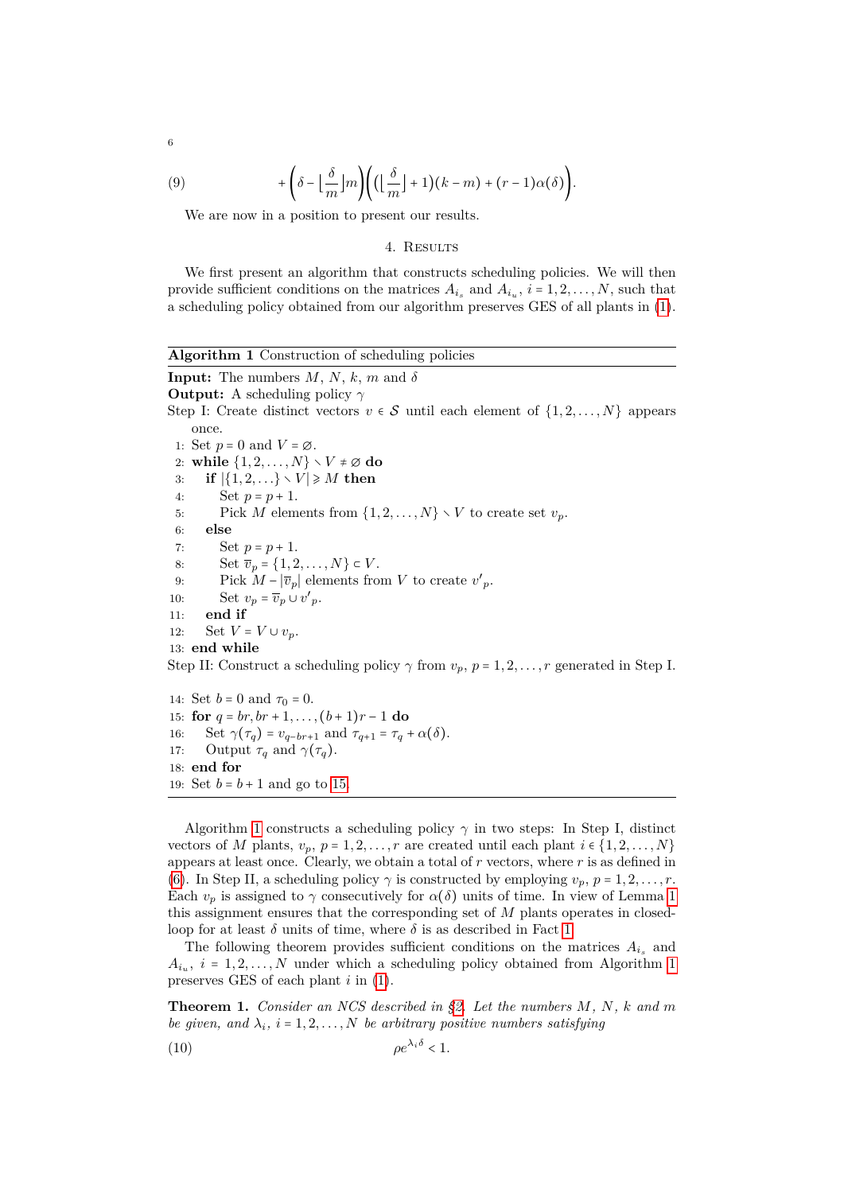(9) 
$$
+ \left( \delta - \left\lfloor \frac{\delta}{m} \right\rfloor m \right) \left( \left( \left\lfloor \frac{\delta}{m} \right\rfloor + 1 \right) (k - m) + (r - 1) \alpha(\delta) \right).
$$

We are now in a position to present our results.

## 4. RESULTS

<span id="page-5-0"></span>We first present an algorithm that constructs scheduling policies. We will then provide sufficient conditions on the matrices  $A_{i_s}$  and  $A_{i_u}$ ,  $i = 1, 2, \ldots, N$ , such that a scheduling policy obtained from our algorithm preserves GES of all plants in [\(1\)](#page-2-3).

<span id="page-5-2"></span>**Algorithm 1** Construction of scheduling policies **Input:** The numbers  $M$ ,  $N$ ,  $k$ ,  $m$  and  $\delta$ **Output:** A scheduling policy *γ* Step I: Create distinct vectors  $v \in \mathcal{S}$  until each element of  $\{1, 2, \ldots, N\}$  appears once. 1: Set  $p = 0$  and  $V = \emptyset$ . 2: **while**  $\{1, 2, \ldots, N\} \setminus V \neq \emptyset$  **do** 3: **if**  $|\{1, 2, ...\}\setminus V| \ge M$  then 4: Set  $p = p + 1$ . 5: Pick *M* elements from  $\{1, 2, \ldots, N\} \setminus V$  to create set  $v_p$ . 6: **else** 7: Set  $p = p + 1$ . 8: Set  $\overline{v}_p = \{1, 2, ..., N\} \subset V$ . 9: Pick  $M - |\overline{v}_p|$  elements from *V* to create  $v'_p$ . 10: Set  $v_p = \overline{v}_p \cup v'_p$ . 11: **end if** 12: Set  $V = V \cup v_p$ . 13: **end while** Step II: Construct a scheduling policy  $\gamma$  from  $v_p$ ,  $p = 1, 2, \ldots, r$  generated in Step I. 14: Set  $b = 0$  and  $\tau_0 = 0$ . 15: **for**  $q = br, br + 1, ..., (b + 1)r - 1$  **do** 16: Set  $\gamma(\tau_q) = v_{q-br+1}$  and  $\tau_{q+1} = \tau_q + \alpha(\delta)$ .

<span id="page-5-1"></span>17: Output  $\tau_q$  and  $\gamma(\tau_q)$ .

$$
18: \textbf{ end for}
$$

19: Set  $b = b + 1$  and go to [15.](#page-5-1)

Algorithm [1](#page-5-2) constructs a scheduling policy  $\gamma$  in two steps: In Step I, distinct vectors of *M* plants,  $v_p$ ,  $p = 1, 2, \ldots, r$  are created until each plant  $i \in \{1, 2, \ldots, N\}$ appears at least once. Clearly, we obtain a total of *r* vectors, where *r* is as defined in [\(6\)](#page-4-0). In Step II, a scheduling policy  $\gamma$  is constructed by employing  $v_p$ ,  $p = 1, 2, \ldots, r$ . Each  $v_p$  is assigned to  $\gamma$  consecutively for  $\alpha(\delta)$  units of time. In view of Lemma [1](#page-4-1) this assignment ensures that the corresponding set of *M* plants operates in closedloop for at least  $\delta$  units of time, where  $\delta$  is as described in Fact [1.](#page-3-3)

The following theorem provides sufficient conditions on the matrices  $A_{i_s}$  and  $A_{i_u}$ ,  $i = 1, 2, \ldots, N$  $i = 1, 2, \ldots, N$  $i = 1, 2, \ldots, N$  under which a scheduling policy obtained from Algorithm 1 preserves GES of each plant *i* in [\(1\)](#page-2-3).

<span id="page-5-4"></span>**Theorem 1.** *Consider an NCS described in [§2.](#page-2-0) Let the numbers M, N, k and m be given, and*  $\lambda_i$ ,  $i = 1, 2, \ldots, N$  *be arbitrary positive numbers satisfying* 

<span id="page-5-3"></span>
$$
(10) \t\t \t\t \t\t \t\rho e^{\lambda_i \delta} < 1.
$$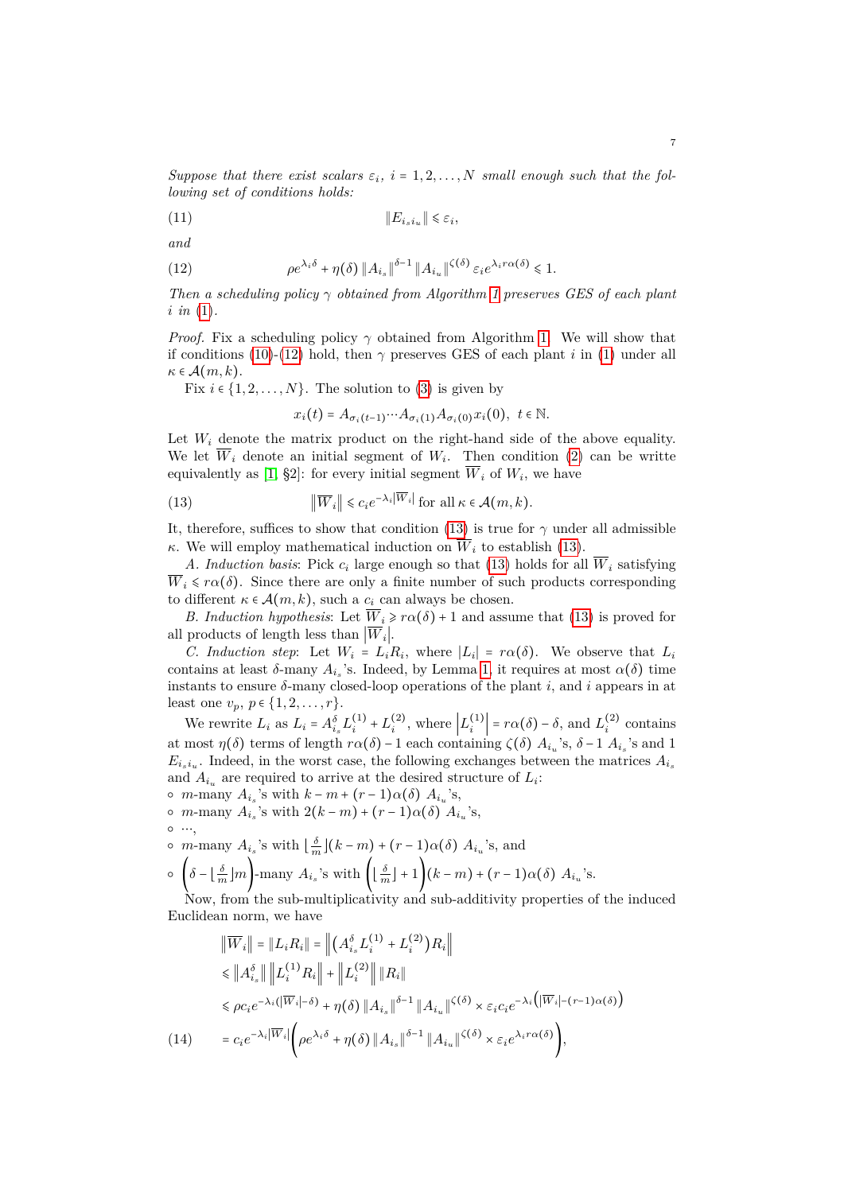*Suppose that there exist scalars*  $\varepsilon_i$ ,  $i = 1, 2, ..., N$  *small enough such that the following set of conditions holds:*

<span id="page-6-3"></span>∥*Eisi<sup>u</sup>* ∥ ⩽ *ε<sup>i</sup>* (11) *,*

$$
and
$$

<span id="page-6-0"></span>(12) 
$$
\rho e^{\lambda_i \delta} + \eta(\delta) \|A_{i_s}\|^{ \delta - 1} \|A_{i_u}\|^{ \zeta(\delta) } \varepsilon_i e^{\lambda_i r \alpha(\delta) } \leq 1.
$$

*Then a scheduling policy γ obtained from Algorithm [1](#page-5-2) preserves GES of each plant i in* [\(1\)](#page-2-3)*.*

*Proof.* Fix a scheduling policy  $\gamma$  obtained from Algorithm [1.](#page-5-2) We will show that if conditions [\(10\)](#page-5-3)-[\(12\)](#page-6-0) hold, then  $\gamma$  preserves GES of each plant *i* in [\(1\)](#page-2-3) under all  $\kappa \in \mathcal{A}(m,k).$ 

Fix  $i \in \{1, 2, \ldots, N\}$ . The solution to [\(3\)](#page-3-4) is given by

 $x_i(t) = A_{\sigma_i(t-1)} \cdots A_{\sigma_i(1)} A_{\sigma_i(0)} x_i(0), t \in \mathbb{N}.$ 

Let  $W_i$  denote the matrix product on the right-hand side of the above equality. We let  $W_i$  denote an initial segment of  $W_i$ . Then condition [\(2\)](#page-3-5) can be writte equivalently as  $[1, §2]$  $[1, §2]$ : for every initial segment  $W_i$  of  $W_i$ , we have

<span id="page-6-1"></span>(13) 
$$
\|\overline{W}_i\| \leq c_i e^{-\lambda_i |W_i|} \text{ for all } \kappa \in \mathcal{A}(m,k).
$$

It, therefore, suffices to show that condition [\(13\)](#page-6-1) is true for  $\gamma$  under all admissible *κ*. We will employ mathematical induction on  $\overline{W}_i$  to establish [\(13\)](#page-6-1).

*A. Induction basis*: Pick *c<sup>i</sup>* large enough so that [\(13\)](#page-6-1) holds for all *W<sup>i</sup>* satisfying  $\overline{W}_i \leq r\alpha(\delta)$ . Since there are only a finite number of such products corresponding to different  $\kappa \in \mathcal{A}(m,k)$ , such a  $c_i$  can always be chosen.

*B. Induction hypothesis*: Let  $\overline{W}_i \geq r\alpha(\delta) + 1$  and assume that [\(13\)](#page-6-1) is proved for all products of length less than  $|W_i|$ .

*C. Induction step:* Let  $W_i = L_i R_i$ , where  $|L_i| = r \alpha(\delta)$ . We observe that  $L_i$ contains at least  $\delta$ -many  $A_{i_s}$ 's. Indeed, by Lemma [1,](#page-4-1) it requires at most  $\alpha(\delta)$  time instants to ensure  $\delta$ -many closed-loop operations of the plant  $i$ , and  $i$  appears in at least one  $v_p, p \in \{1, 2, ..., r\}.$ 

We rewrite  $L_i$  as  $L_i = A_{i_s}^{\delta} L_i^{(1)} + L_i^{(2)}$ , where  $\left| L_i^{(1)} \right| = r\alpha(\delta) - \delta$ , and  $L_i^{(2)}$  contains at most  $\eta(\delta)$  terms of length  $r\alpha(\delta)$  – 1 each containing  $\zeta(\delta)$   $A_{i_u}$ 's,  $\delta$  – 1  $A_{i_s}$ 's and 1  $E_{i_s i_u}$ . Indeed, in the worst case, the following exchanges between the matrices  $A_{i_s}$ and  $A_{i_u}$  are required to arrive at the desired structure of  $L_i$ :

 $o$  *m*-many *A*<sup>*i*</sup><sub>*s*</sub></sub>'s with *k* − *m* + (*r* − 1)*α*(*δ*) *A*<sup>*i*</sup><sub>*u*</sub></sup>'s,

$$
\circ \ \text{m-many } A_{i_s} \text{'s with } 2(k-m) + (r-1)\alpha(\delta) A_{i_u} \text{'s},
$$

○ ⋯,

 $\circ$  *m*-many  $A_{i_s}$ 's with  $\left\lfloor \frac{\delta}{m} \right\rfloor (k-m) + (r-1)\alpha(\delta)$   $A_{i_u}$ 's, and

$$
\circ \left( \delta - \left\lfloor \frac{\delta}{m} \right\rfloor m \right) = \max_{i} A_{i_s} \text{'s with } \left( \left\lfloor \frac{\delta}{m} \right\rfloor + 1 \right) (k - m) + (r - 1) \alpha(\delta) A_{i_u} \text{'s.}
$$

Now, from the sub-multiplicativity and sub-additivity properties of the induced Euclidean norm, we have

<span id="page-6-2"></span>
$$
\|\overline{W}_{i}\| = \|L_{i}R_{i}\| = \left\| \left( A_{i_{s}}^{\delta} L_{i}^{(1)} + L_{i}^{(2)} \right) R_{i} \right\|
$$
  
\n
$$
\leq \left\| A_{i_{s}}^{\delta} \right\| \left\| L_{i}^{(1)} R_{i} \right\| + \left\| L_{i}^{(2)} \right\| \left\| R_{i} \right\|
$$
  
\n
$$
\leq \rho c_{i} e^{-\lambda_{i} (\left| \overline{W}_{i} \right| - \delta)} + \eta(\delta) \left\| A_{i_{s}} \right\|^{ \delta - 1} \left\| A_{i_{u}} \right\|^{ \zeta(\delta)} \times \varepsilon_{i} c_{i} e^{-\lambda_{i} (\left| \overline{W}_{i} \right| - (r - 1) \alpha(\delta))}
$$
  
\n(14) 
$$
= c_{i} e^{-\lambda_{i} \left| \overline{W}_{i} \right|} \left( \rho e^{\lambda_{i} \delta} + \eta(\delta) \left\| A_{i_{s}} \right\|^{ \delta - 1} \left\| A_{i_{u}} \right\|^{ \zeta(\delta)} \times \varepsilon_{i} e^{\lambda_{i} r \alpha(\delta)} \right),
$$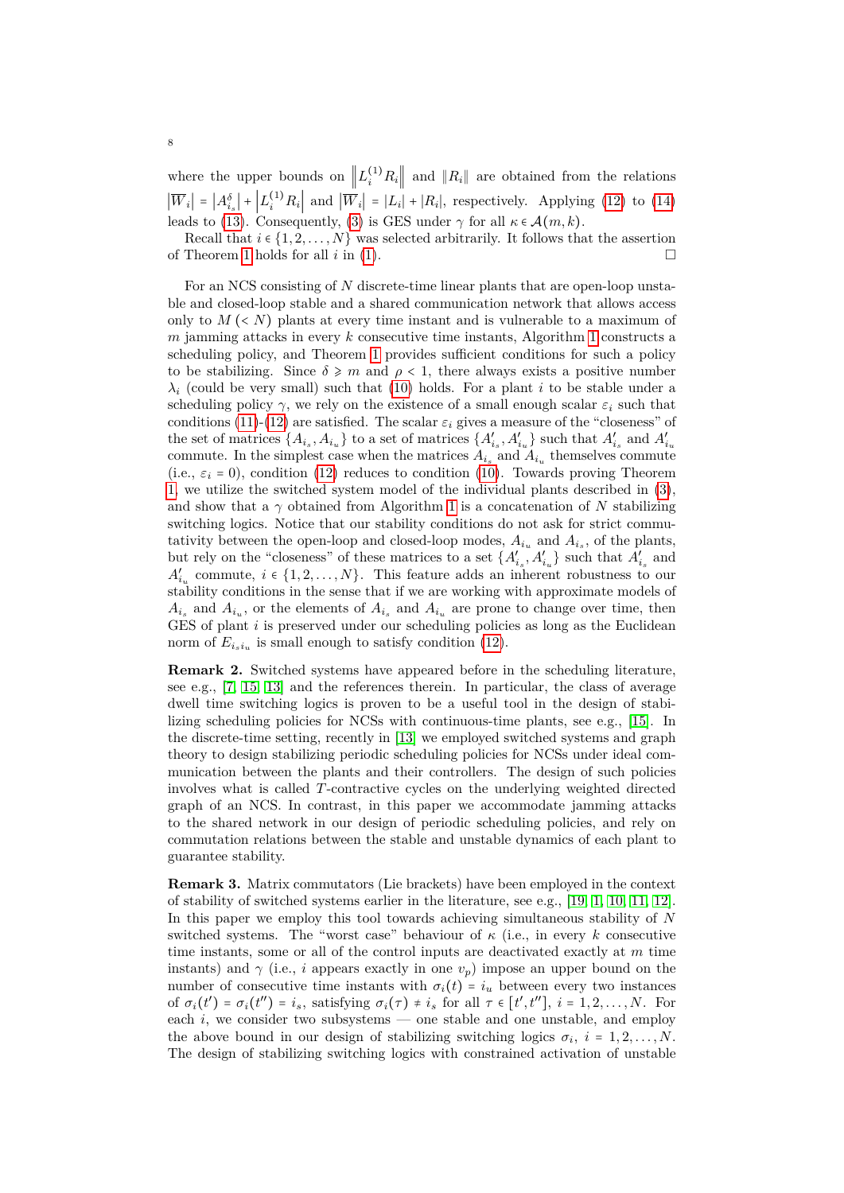where the upper bounds on  $||L_i^{(1)}R_i||$  and  $||R_i||$  are obtained from the relations  $|\overline{W}_i| = |A_{i_s}^{\delta}| + |L_i^{(1)}R_i|$  and  $|\overline{W}_i| = |L_i| + |R_i|$ , respectively. Applying [\(12\)](#page-6-0) to [\(14\)](#page-6-2) leads to [\(13\)](#page-6-1). Consequently, [\(3\)](#page-3-4) is GES under  $\gamma$  for all  $\kappa \in \mathcal{A}(m, k)$ .

Recall that  $i \in \{1, 2, ..., N\}$  was selected arbitrarily. It follows that the assertion of Theorem [1](#page-5-4) holds for all  $i$  in [\(1\)](#page-2-3).

For an NCS consisting of *N* discrete-time linear plants that are open-loop unstable and closed-loop stable and a shared communication network that allows access only to  $M \leq N$ ) plants at every time instant and is vulnerable to a maximum of *m* jamming attacks in every *k* consecutive time instants, Algorithm [1](#page-5-2) constructs a scheduling policy, and Theorem [1](#page-5-4) provides sufficient conditions for such a policy to be stabilizing. Since  $\delta \geq m$  and  $\rho < 1$ , there always exists a positive number  $\lambda_i$  (could be very small) such that [\(10\)](#page-5-3) holds. For a plant *i* to be stable under a scheduling policy  $\gamma$ , we rely on the existence of a small enough scalar  $\varepsilon_i$  such that conditions [\(11\)](#page-6-3)-[\(12\)](#page-6-0) are satisfied. The scalar  $\varepsilon_i$  gives a measure of the "closeness" of the set of matrices  $\{A_{i_s}, A_{i_u}\}$  to a set of matrices  $\{A'_{i_s}, A'_{i_u}\}$  such that  $A'_{i_s}$  and  $A'_{i_u}$ commute. In the simplest case when the matrices  $A_{i_s}$  and  $A_{i_u}$  themselves commute (i.e.,  $\varepsilon_i = 0$ ), condition [\(12\)](#page-6-0) reduces to condition [\(10\)](#page-5-3). Towards proving Theorem [1,](#page-5-4) we utilize the switched system model of the individual plants described in [\(3\)](#page-3-4), and show that a  $\gamma$  obtained from Algorithm [1](#page-5-2) is a concatenation of N stabilizing switching logics. Notice that our stability conditions do not ask for strict commutativity between the open-loop and closed-loop modes,  $A_{i_u}$  and  $A_{i_s}$ , of the plants, but rely on the "closeness" of these matrices to a set  $\{A'_{i_s}, A'_{i_u}\}$  such that  $A'_{i_s}$  and  $A'_{i_u}$  commute,  $i \in \{1, 2, ..., N\}$ . This feature adds an inherent robustness to our stability conditions in the sense that if we are working with approximate models of  $A_{i_s}$  and  $A_{i_u}$ , or the elements of  $A_{i_s}$  and  $A_{i_u}$  are prone to change over time, then GES of plant *i* is preserved under our scheduling policies as long as the Euclidean norm of  $E_{i_s i_u}$  is small enough to satisfy condition [\(12\)](#page-6-0).

**Remark 2.** Switched systems have appeared before in the scheduling literature, see e.g., [\[7,](#page-12-15) [15,](#page-12-16) [13\]](#page-12-6) and the references therein. In particular, the class of average dwell time switching logics is proven to be a useful tool in the design of stabilizing scheduling policies for NCSs with continuous-time plants, see e.g., [\[15\]](#page-12-16). In the discrete-time setting, recently in [\[13\]](#page-12-6) we employed switched systems and graph theory to design stabilizing periodic scheduling policies for NCSs under ideal communication between the plants and their controllers. The design of such policies involves what is called *T*-contractive cycles on the underlying weighted directed graph of an NCS. In contrast, in this paper we accommodate jamming attacks to the shared network in our design of periodic scheduling policies, and rely on commutation relations between the stable and unstable dynamics of each plant to guarantee stability.

**Remark 3.** Matrix commutators (Lie brackets) have been employed in the context of stability of switched systems earlier in the literature, see e.g., [\[19,](#page-12-17) [1,](#page-12-12) [10,](#page-12-18) [11,](#page-12-19) [12\]](#page-12-20). In this paper we employ this tool towards achieving simultaneous stability of *N* switched systems. The "worst case" behaviour of  $\kappa$  (i.e., in every  $k$  consecutive time instants, some or all of the control inputs are deactivated exactly at *m* time instants) and  $\gamma$  (i.e., *i* appears exactly in one  $v_p$ ) impose an upper bound on the number of consecutive time instants with  $\sigma_i(t) = i_u$  between every two instances of  $\sigma_i(t') = \sigma_i(t'') = i_s$ , satisfying  $\sigma_i(\tau) \neq i_s$  for all  $\tau \in [t', t'']$ ,  $i = 1, 2, ..., N$ . For each *i*, we consider two subsystems — one stable and one unstable, and employ the above bound in our design of stabilizing switching logics  $\sigma_i$ ,  $i = 1, 2, \ldots, N$ . The design of stabilizing switching logics with constrained activation of unstable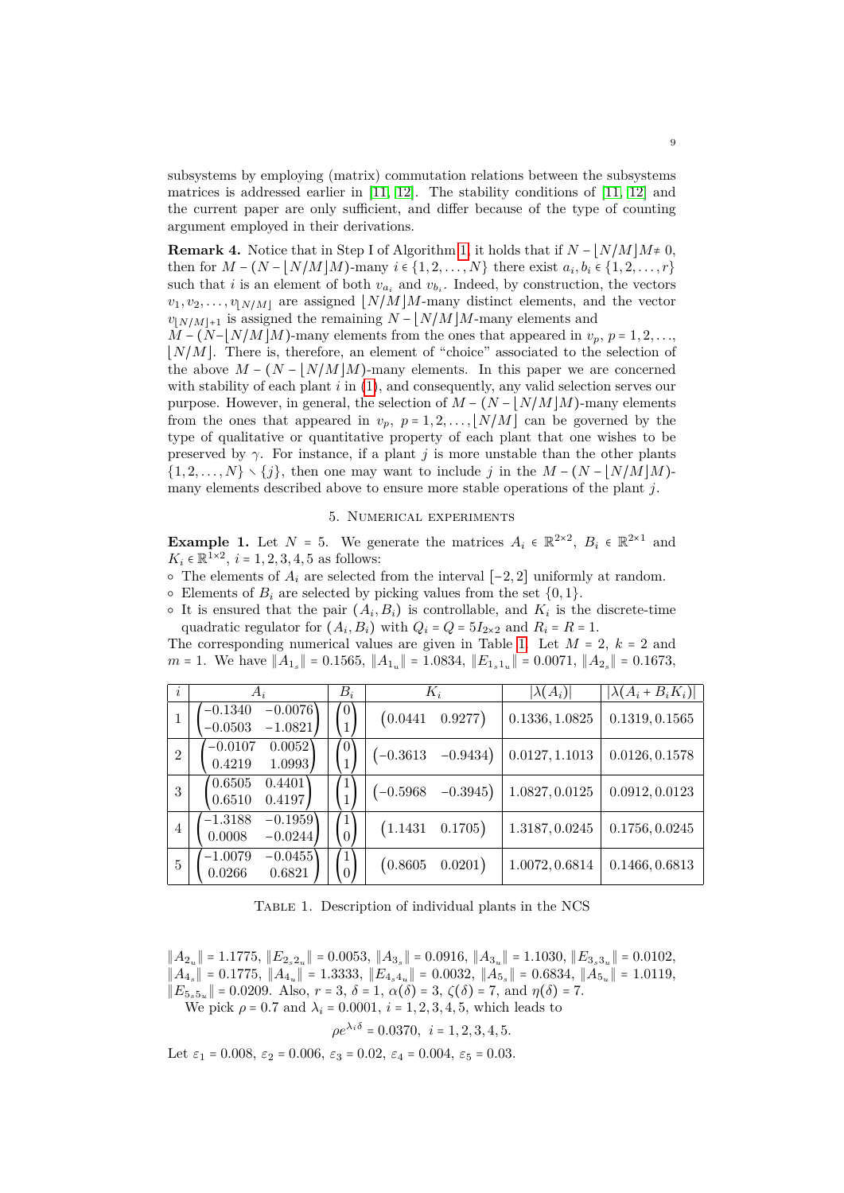subsystems by employing (matrix) commutation relations between the subsystems matrices is addressed earlier in [\[11,](#page-12-19) [12\]](#page-12-20). The stability conditions of [\[11,](#page-12-19) [12\]](#page-12-20) and the current paper are only sufficient, and differ because of the type of counting argument employed in their derivations.

**Remark 4.** Notice that in Step I of Algorithm [1,](#page-5-2) it holds that if  $N - |N/M|M \neq 0$ . then for  $M - (N - [N/M]M)$ -many  $i \in \{1, 2, ..., N\}$  there exist  $a_i, b_i \in \{1, 2, ..., r\}$ such that *i* is an element of both  $v_{a_i}$  and  $v_{b_i}$ . Indeed, by construction, the vectors  $v_1, v_2, \ldots, v_{\vert N/M \vert}$  are assigned  $\vert N/M \vert M$ -many distinct elements, and the vector *v* $|N/M|+1$  is assigned the remaining  $N - \frac{N}{M}$  M-many elements and

 $M - (N - N/M)$ *M*)-many elements from the ones that appeared in  $v_p$ ,  $p = 1, 2, \ldots$  $|N/M|$ . There is, therefore, an element of "choice" associated to the selection of the above  $M - (N - |N/M|M)$ -many elements. In this paper we are concerned with stability of each plant *i* in [\(1\)](#page-2-3), and consequently, any valid selection serves our purpose. However, in general, the selection of  $M - (N - |N/M|M)$ -many elements from the ones that appeared in  $v_p$ ,  $p = 1, 2, \ldots, \lfloor N/M \rfloor$  can be governed by the type of qualitative or quantitative property of each plant that one wishes to be preserved by  $\gamma$ . For instance, if a plant *j* is more unstable than the other plants  $\{1, 2, \ldots, N\} \setminus \{j\}$ , then one may want to include *j* in the  $M - (N - |N/M|M)$ many elements described above to ensure more stable operations of the plant *j*.

## 5. Numerical experiments

<span id="page-8-0"></span>**Example 1.** Let  $N = 5$ . We generate the matrices  $A_i \in \mathbb{R}^{2 \times 2}$ ,  $B_i \in \mathbb{R}^{2 \times 1}$  and  $K_i \in \mathbb{R}^{\bar{1} \times 2}$ ,  $i = 1, 2, 3, 4, 5$  as follows:

 $\circ$  The elements of  $A_i$  are selected from the interval [−2, 2] uniformly at random.

 $\circ$  Elements of  $B_i$  are selected by picking values from the set  $\{0, 1\}.$ 

 $\circ$  It is ensured that the pair  $(A_i, B_i)$  is controllable, and  $K_i$  is the discrete-time quadratic regulator for  $(A_i, B_i)$  with  $Q_i = Q = 5I_{2\times 2}$  and  $R_i = R = 1$ .

The corresponding numerical values are given in Table [1.](#page-8-1) Let  $M = 2$ ,  $k = 2$  and *m* = 1. We have  $||A_{1_s}||$  = 0.1565,  $||A_{1_u}||$  = 1.0834,  $||E_{1_s1_u}||$  = 0.0071,  $||A_{2_s}||$  = 0.1673,

<span id="page-8-1"></span>

| $\dot{i}$      | $A_i$                                            | $B_i$                            | $K_i$       |            | $ \lambda(A_i) $ | $ \lambda(A_i+B_iK_i) $ |
|----------------|--------------------------------------------------|----------------------------------|-------------|------------|------------------|-------------------------|
| $\mathbf{1}$   | $-0.0076$<br>$-0.1340$<br>$-1.0821$<br>$-0.0503$ | $\left(0\right)$<br>$\mathbf{1}$ | (0.0441)    | 0.9277)    | 0.1336, 1.0825   | 0.1319, 0.1565          |
| $\overline{2}$ | $-0.0107$<br>0.0052<br>1.0993<br>0.4219          | $\left[0\right]$                 | $(-0.3613)$ | $-0.9434)$ | 0.0127, 1.1013   | 0.0126, 0.1578          |
| 3              | 0.6505<br>0.4401<br>0.4197<br>0.6510             |                                  | $(-0.5968)$ | $-0.3945)$ | 1.0827, 0.0125   | 0.0912, 0.0123          |
| $\overline{4}$ | $-1.3188$<br>$-0.1959$<br>0.0008<br>$-0.0244$    | 1<br>$\overline{0}$              | (1.1431)    | 0.1705)    | 1.3187, 0.0245   | 0.1756, 0.0245          |
| $\overline{5}$ | $-1.0079$<br>$-0.0455$<br>0.0266<br>0.6821       | $\mathbf{1}$<br>$\Omega$         | (0.8605)    | 0.0201)    | 1.0072, 0.6814   | 0.1466, 0.6813          |

Table 1. Description of individual plants in the NCS

 $||A_{2_u}|| = 1.1775, ||E_{2_s2_u}|| = 0.0053, ||A_{3_s}|| = 0.0916, ||A_{3_u}|| = 1.1030, ||E_{3_s3_u}|| = 0.0102,$  $||A_4|$  = 0.1775,  $||A_4|$  = 1.3333,  $||E_{4_s4_u}||$  = 0.0032,  $||A_{5_s}||$  = 0.6834,  $||A_{5_u}||$  = 1.0119,  $||E_{5,5}$ <sub>*u*</sub> $|| = 0.0209$ . Also, *r* = 3, *δ* = 1, *α*(*δ*) = 3,  $\zeta$ (*δ*) = 7, and *η*(*δ*) = 7. We pick *ρ* = 0.7 and  $λ<sub>i</sub>$  = 0.0001, *i* = 1, 2, 3, 4, 5, which leads to

$$
\rho e^{\lambda_i \delta} = 0.0370, \ i = 1, 2, 3, 4, 5.
$$

Let  $\varepsilon_1 = 0.008$ ,  $\varepsilon_2 = 0.006$ ,  $\varepsilon_3 = 0.02$ ,  $\varepsilon_4 = 0.004$ ,  $\varepsilon_5 = 0.03$ .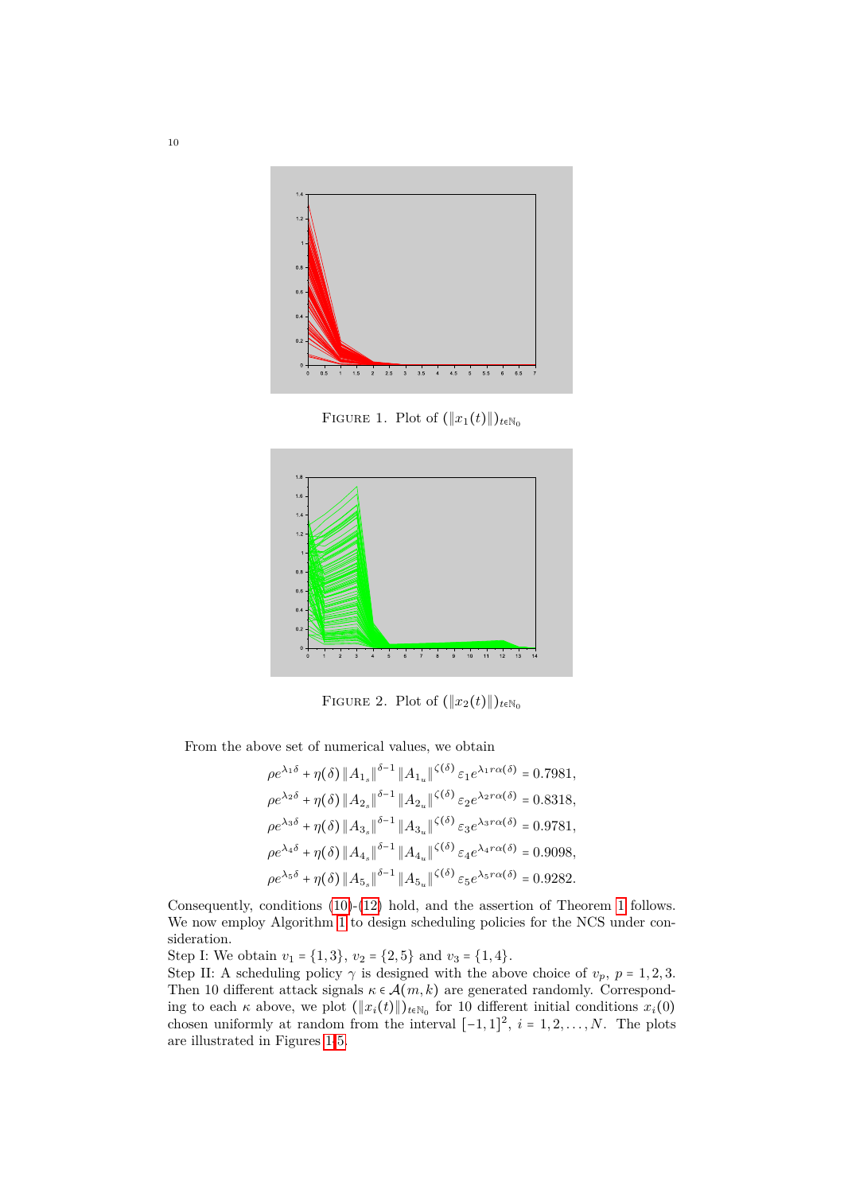<span id="page-9-0"></span>

FIGURE 1. Plot of  $(\Vert x_1(t)\Vert)_{t\in\mathbb{N}_0}$ 



FIGURE 2. Plot of  $(\Vert x_2(t)\Vert)_{t\in\mathbb{N}_0}$ 

From the above set of numerical values, we obtain

$$
\rho e^{\lambda_1 \delta} + \eta(\delta) \|A_{1_s}\|^{\delta - 1} \|A_{1_u}\|^{(\delta)} \varepsilon_1 e^{\lambda_1 r \alpha(\delta)} = 0.7981,
$$
  
\n
$$
\rho e^{\lambda_2 \delta} + \eta(\delta) \|A_{2_s}\|^{ \delta - 1} \|A_{2_u}\|^{(\delta)} \varepsilon_2 e^{\lambda_2 r \alpha(\delta)} = 0.8318,
$$
  
\n
$$
\rho e^{\lambda_3 \delta} + \eta(\delta) \|A_{3_s}\|^{ \delta - 1} \|A_{3_u}\|^{(\delta)} \varepsilon_3 e^{\lambda_3 r \alpha(\delta)} = 0.9781,
$$
  
\n
$$
\rho e^{\lambda_4 \delta} + \eta(\delta) \|A_{4_s}\|^{ \delta - 1} \|A_{4_u}\|^{(\delta)} \varepsilon_4 e^{\lambda_4 r \alpha(\delta)} = 0.9098,
$$
  
\n
$$
\rho e^{\lambda_5 \delta} + \eta(\delta) \|A_{5_s}\|^{ \delta - 1} \|A_{5_u}\|^{(\delta)} \varepsilon_5 e^{\lambda_5 r \alpha(\delta)} = 0.9282.
$$

Consequently, conditions [\(10\)](#page-5-3)-[\(12\)](#page-6-0) hold, and the assertion of Theorem [1](#page-5-4) follows. We now employ Algorithm [1](#page-5-2) to design scheduling policies for the NCS under consideration.

Step I: We obtain  $v_1 = \{1,3\}$ ,  $v_2 = \{2,5\}$  and  $v_3 = \{1,4\}$ .

Step II: A scheduling policy  $\gamma$  is designed with the above choice of  $v_p$ ,  $p = 1, 2, 3$ . Then 10 different attack signals  $\kappa \in \mathcal{A}(m,k)$  are generated randomly. Corresponding to each  $\kappa$  above, we plot  $(\Vert x_i(t) \Vert)_{t \in \mathbb{N}_0}$  for 10 different initial conditions  $x_i(0)$ chosen uniformly at random from the interval  $[-1,1]^2$ ,  $i = 1, 2, \ldots, N$ . The plots are illustrated in Figures [1-](#page-9-0)[5.](#page-10-0)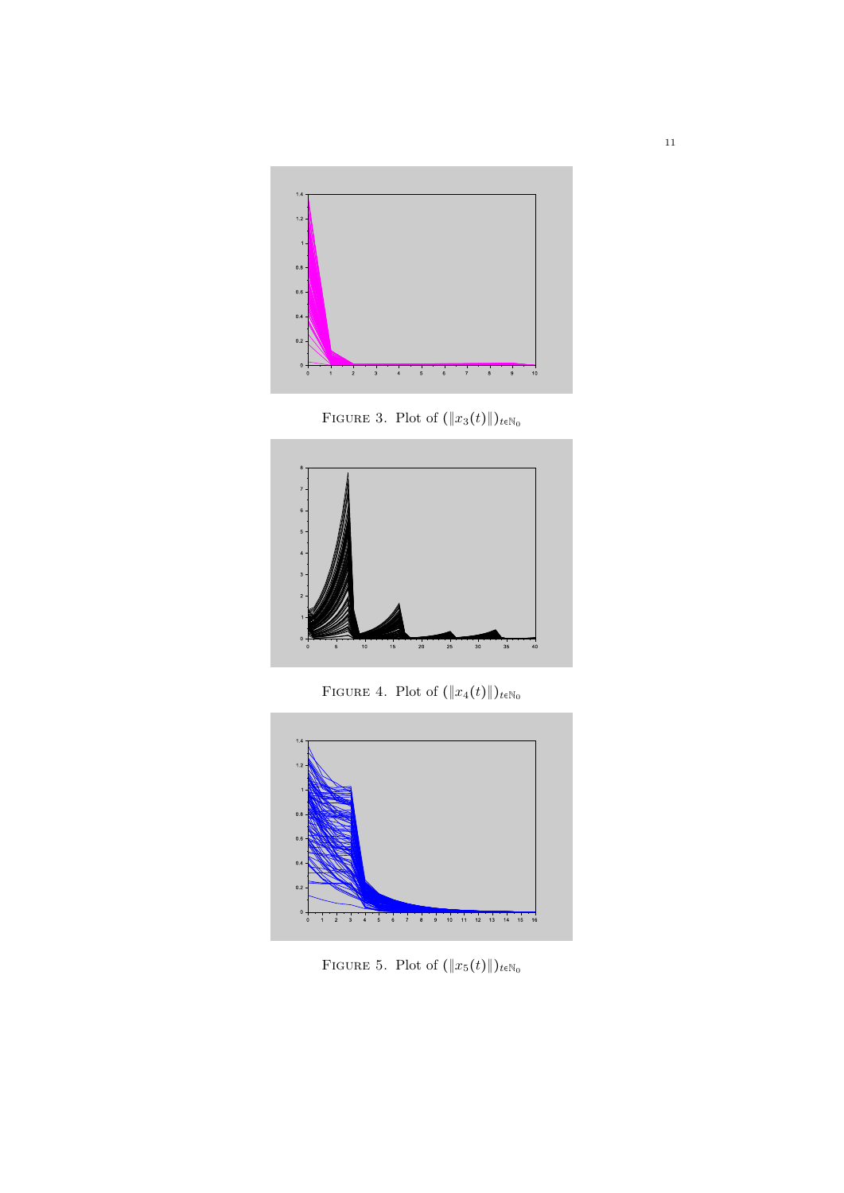

FIGURE 3. Plot of  $(\Vert x_3(t)\Vert)_{t \in \mathbb{N}_0}$ 



FIGURE 4. Plot of  $(\Vert x_4(t)\Vert)_{t \in \mathbb{N}_0}$ 

<span id="page-10-0"></span>

FIGURE 5. Plot of  $(\Vert x_5(t)\Vert)_{t \in \mathbb{N}_0}$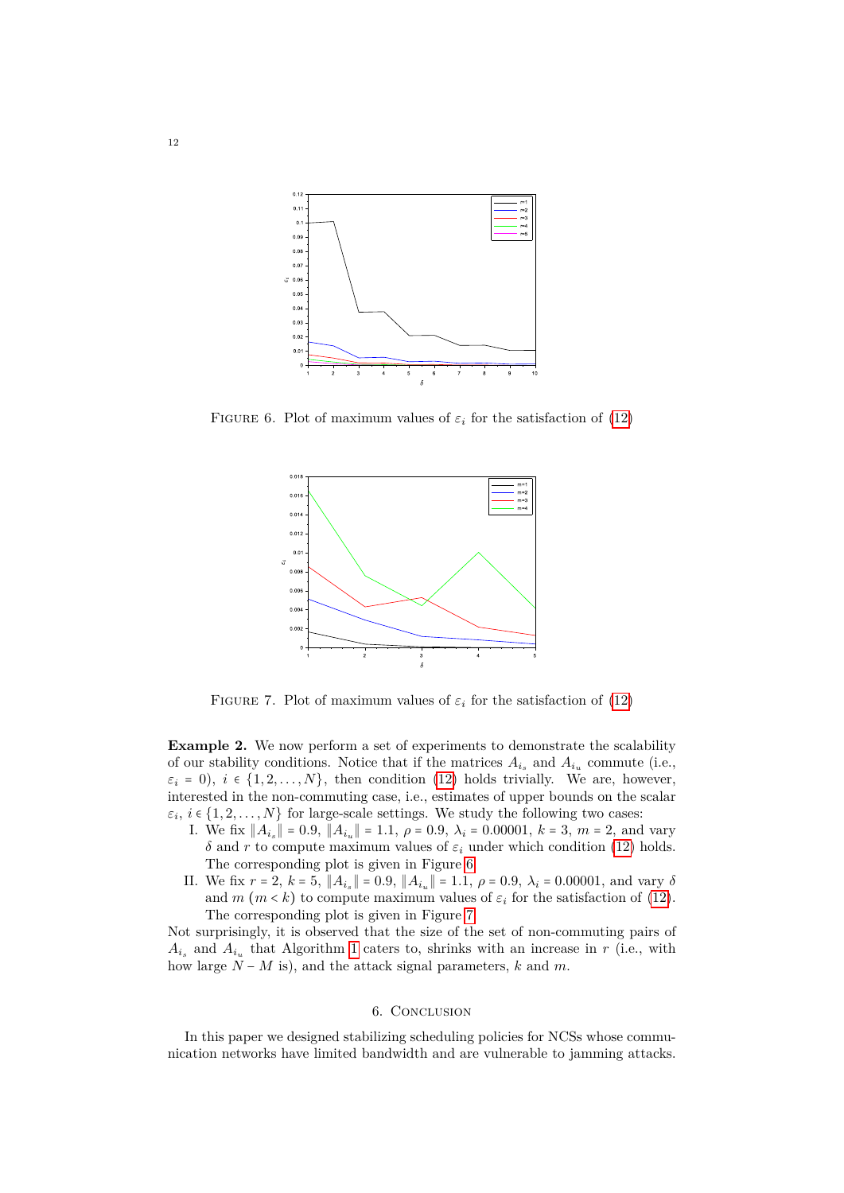<span id="page-11-1"></span>

<span id="page-11-2"></span>FIGURE 6. Plot of maximum values of  $\varepsilon_i$  for the satisfaction of [\(12\)](#page-6-0)



FIGURE 7. Plot of maximum values of  $\varepsilon_i$  for the satisfaction of [\(12\)](#page-6-0)

**Example 2.** We now perform a set of experiments to demonstrate the scalability of our stability conditions. Notice that if the matrices  $A_{i_s}$  and  $A_{i_u}$  commute (i.e.,  $\varepsilon_i = 0$ ,  $i \in \{1, 2, ..., N\}$ , then condition [\(12\)](#page-6-0) holds trivially. We are, however, interested in the non-commuting case, i.e., estimates of upper bounds on the scalar  $\varepsilon_i, i \in \{1, 2, \ldots, N\}$  for large-scale settings. We study the following two cases:

- I. We fix  $||A_{i_s}|| = 0.9$ ,  $||A_{i_u}|| = 1.1$ , *ρ* = 0.9, *λ*<sub>*i*</sub> = 0.00001, *k* = 3, *m* = 2, and vary *δ* and *r* to compute maximum values of  $\varepsilon$ *i* under which condition [\(12\)](#page-6-0) holds. The corresponding plot is given in Figure [6.](#page-11-1)
- II. We fix  $r = 2$ ,  $k = 5$ ,  $||A_{i_s}|| = 0.9$ ,  $||A_{i_u}|| = 1.1$ ,  $\rho = 0.9$ ,  $\lambda_i = 0.00001$ , and vary  $\delta$ and  $m (m \lt k)$  to compute maximum values of  $\varepsilon_i$  for the satisfaction of [\(12\)](#page-6-0). The corresponding plot is given in Figure [7.](#page-11-2)

Not surprisingly, it is observed that the size of the set of non-commuting pairs of  $A_{i_s}$  and  $A_{i_u}$  that Algorithm [1](#page-5-2) caters to, shrinks with an increase in *r* (i.e., with how large *N* − *M* is), and the attack signal parameters, *k* and *m*.

## 6. Conclusion

<span id="page-11-0"></span>In this paper we designed stabilizing scheduling policies for NCSs whose communication networks have limited bandwidth and are vulnerable to jamming attacks.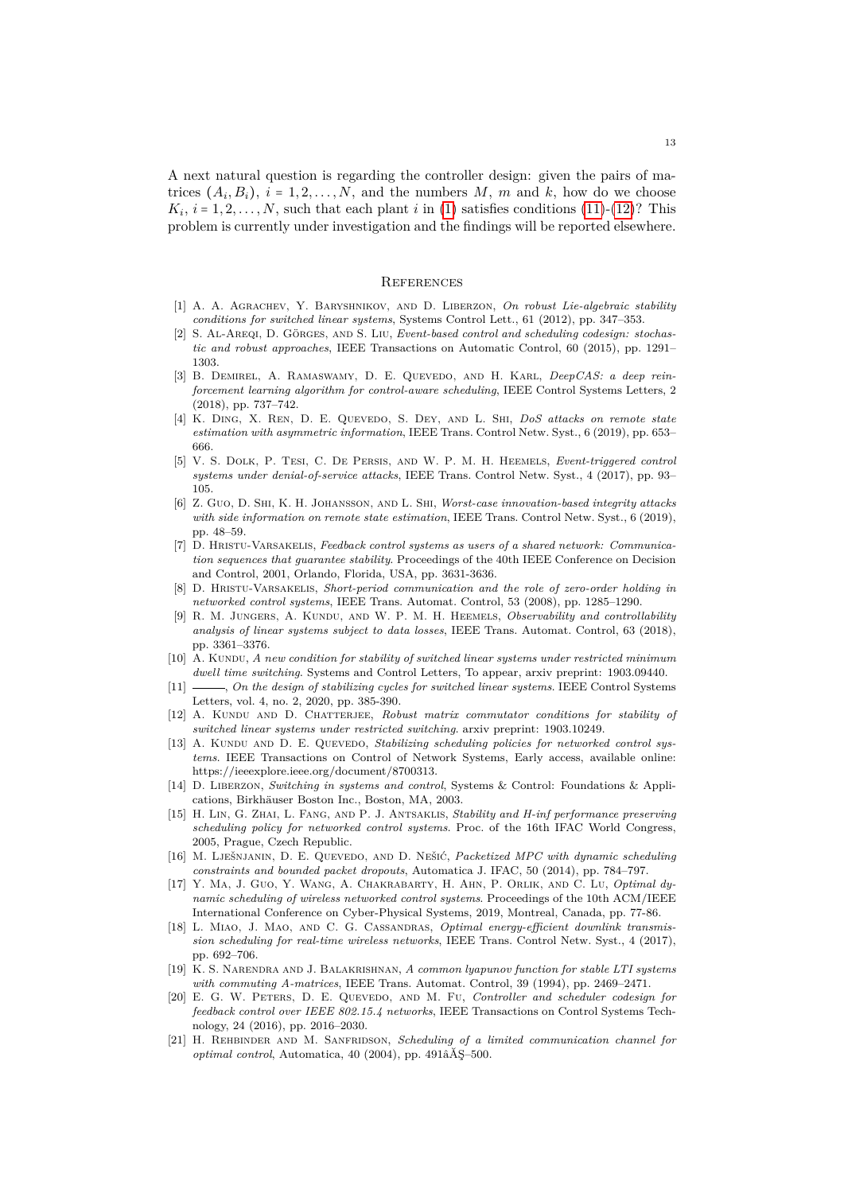A next natural question is regarding the controller design: given the pairs of matrices  $(A_i, B_i)$ ,  $i = 1, 2, ..., N$ , and the numbers  $M$ ,  $m$  and  $k$ , how do we choose  $K_i$ ,  $i = 1, 2, \ldots, N$ , such that each plant *i* in [\(1\)](#page-2-3) satisfies conditions [\(11\)](#page-6-3)-[\(12\)](#page-6-0)? This problem is currently under investigation and the findings will be reported elsewhere.

#### **REFERENCES**

- <span id="page-12-12"></span>[1] A. A. Agrachev, Y. Baryshnikov, and D. Liberzon, *On robust Lie-algebraic stability conditions for switched linear systems*, Systems Control Lett., 61 (2012), pp. 347–353.
- <span id="page-12-2"></span>[2] S. AL-AREQI, D. GÖRGES, AND S. LIU, *Event-based control and scheduling codesign: stochastic and robust approaches*, IEEE Transactions on Automatic Control, 60 (2015), pp. 1291– 1303.
- <span id="page-12-4"></span>[3] B. Demirel, A. Ramaswamy, D. E. Quevedo, and H. Karl, *DeepCAS: a deep reinforcement learning algorithm for control-aware scheduling*, IEEE Control Systems Letters, 2 (2018), pp. 737–742.
- <span id="page-12-9"></span>[4] K. Ding, X. Ren, D. E. Quevedo, S. Dey, and L. Shi, *DoS attacks on remote state estimation with asymmetric information*, IEEE Trans. Control Netw. Syst., 6 (2019), pp. 653– 666.
- <span id="page-12-10"></span>[5] V. S. Dolk, P. Tesi, C. De Persis, and W. P. M. H. Heemels, *Event-triggered control systems under denial-of-service attacks*, IEEE Trans. Control Netw. Syst., 4 (2017), pp. 93– 105.
- <span id="page-12-11"></span>[6] Z. Guo, D. Shi, K. H. Johansson, and L. Shi, *Worst-case innovation-based integrity attacks with side information on remote state estimation*, IEEE Trans. Control Netw. Syst., 6 (2019), pp. 48–59.
- <span id="page-12-15"></span>[7] D. Hristu-Varsakelis, *Feedback control systems as users of a shared network: Communication sequences that guarantee stability*. Proceedings of the 40th IEEE Conference on Decision and Control, 2001, Orlando, Florida, USA, pp. 3631-3636.
- <span id="page-12-0"></span>[8] D. Hristu-Varsakelis, *Short-period communication and the role of zero-order holding in networked control systems*, IEEE Trans. Automat. Control, 53 (2008), pp. 1285–1290.
- <span id="page-12-13"></span>[9] R. M. Jungers, A. Kundu, and W. P. M. H. Heemels, *Observability and controllability analysis of linear systems subject to data losses*, IEEE Trans. Automat. Control, 63 (2018), pp. 3361–3376.
- <span id="page-12-18"></span>[10] A. KUNDU, *A new condition for stability of switched linear systems under restricted minimum dwell time switching*. Systems and Control Letters, To appear, arxiv preprint: 1903.09440.
- <span id="page-12-19"></span>[11] , *On the design of stabilizing cycles for switched linear systems*. IEEE Control Systems Letters, vol. 4, no. 2, 2020, pp. 385-390.
- <span id="page-12-20"></span>[12] A. KUNDU AND D. CHATTERJEE, *Robust matrix commutator conditions for stability of switched linear systems under restricted switching*. arxiv preprint: 1903.10249.
- <span id="page-12-6"></span>[13] A. KUNDU AND D. E. QUEVEDO, *Stabilizing scheduling policies for networked control systems*. IEEE Transactions on Control of Network Systems, Early access, available online: https://ieeexplore.ieee.org/document/8700313.
- <span id="page-12-14"></span>[14] D. Liberzon, *Switching in systems and control*, Systems & Control: Foundations & Applications, Birkhäuser Boston Inc., Boston, MA, 2003.
- <span id="page-12-16"></span>[15] H. Lin, G. Zhai, L. Fang, and P. J. Antsaklis, *Stability and H-inf performance preserving scheduling policy for networked control systems*. Proc. of the 16th IFAC World Congress, 2005, Prague, Czech Republic.
- <span id="page-12-3"></span>[16] M. LJEŠNJANIN, D. E. QUEVEDO, AND D. NEŠIĆ, *Packetized MPC with dynamic scheduling constraints and bounded packet dropouts*, Automatica J. IFAC, 50 (2014), pp. 784–797.
- <span id="page-12-8"></span>[17] Y. Ma, J. Guo, Y. Wang, A. Chakrabarty, H. Ahn, P. Orlik, and C. Lu, *Optimal dynamic scheduling of wireless networked control systems*. Proceedings of the 10th ACM/IEEE International Conference on Cyber-Physical Systems, 2019, Montreal, Canada, pp. 77-86.
- <span id="page-12-5"></span>[18] L. Miao, J. Mao, and C. G. Cassandras, *Optimal energy-efficient downlink transmission scheduling for real-time wireless networks*, IEEE Trans. Control Netw. Syst., 4 (2017), pp. 692–706.
- <span id="page-12-17"></span>[19] K. S. Narendra and J. Balakrishnan, *A common lyapunov function for stable LTI systems with commuting A-matrices*, IEEE Trans. Automat. Control, 39 (1994), pp. 2469–2471.
- <span id="page-12-7"></span>[20] E. G. W. Peters, D. E. Quevedo, and M. Fu, *Controller and scheduler codesign for feedback control over IEEE 802.15.4 networks*, IEEE Transactions on Control Systems Technology, 24 (2016), pp. 2016–2030.
- <span id="page-12-1"></span>[21] H. Rehbinder and M. Sanfridson, *Scheduling of a limited communication channel for optimal control*, Automatica, 40 (2004), pp. 491âĂŞ–500.